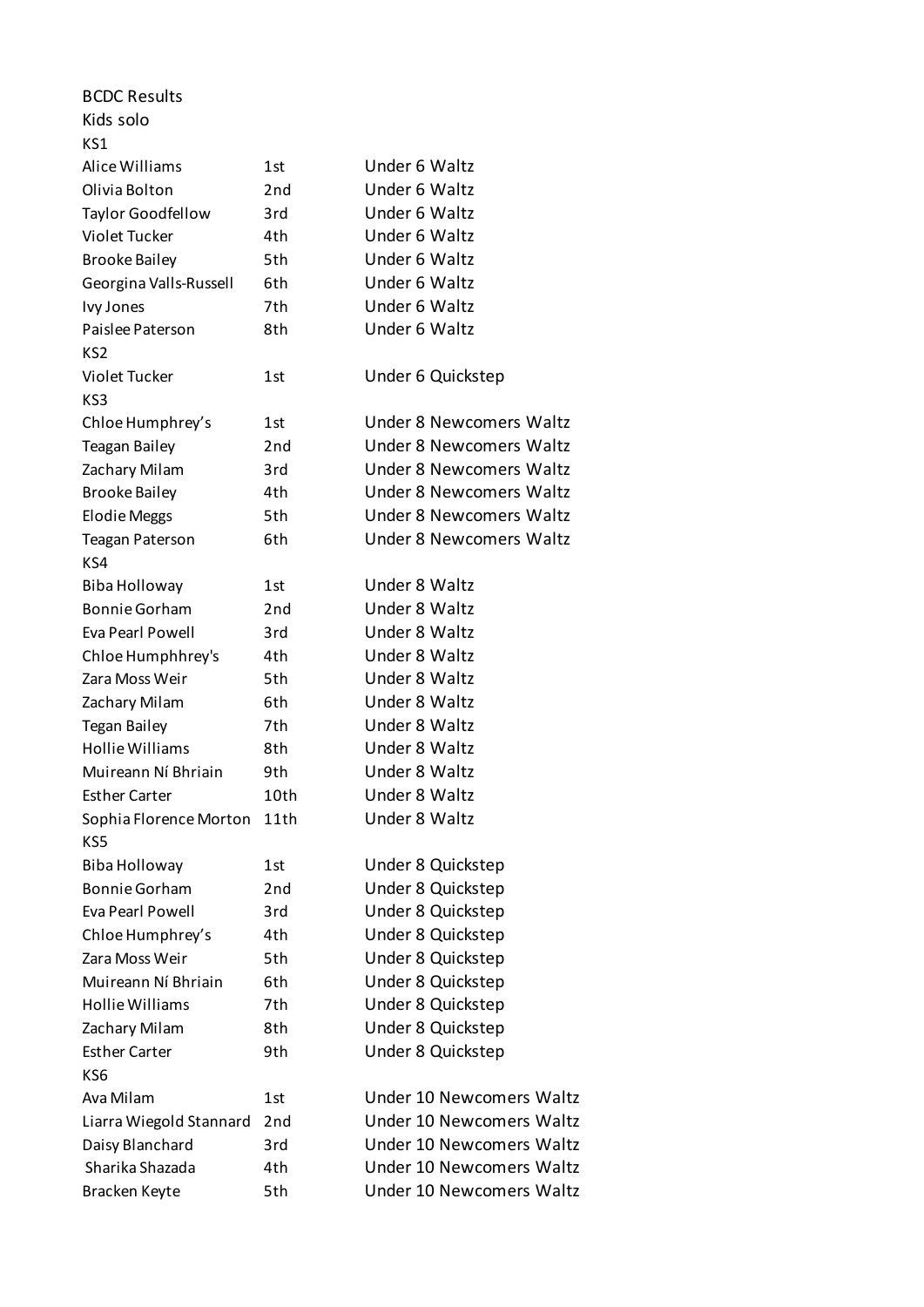| <b>BCDC Results</b>                   |                 |                                |
|---------------------------------------|-----------------|--------------------------------|
| Kids solo                             |                 |                                |
| KS1                                   |                 |                                |
| Alice Williams                        | 1st             | Under 6 Waltz                  |
| Olivia Bolton                         | 2nd             | Under 6 Waltz                  |
| <b>Taylor Goodfellow</b>              | 3rd             | Under 6 Waltz                  |
| Violet Tucker                         | 4th             | Under 6 Waltz                  |
| <b>Brooke Bailey</b>                  | 5th             | Under 6 Waltz                  |
| Georgina Valls-Russell                | 6th             | Under 6 Waltz                  |
| Ivy Jones                             | 7th             | Under 6 Waltz                  |
| Paislee Paterson                      | 8th             | Under 6 Waltz                  |
| KS2                                   |                 |                                |
| <b>Violet Tucker</b>                  | 1st             | Under 6 Quickstep              |
| KS3                                   |                 |                                |
| Chloe Humphrey's                      | 1st             | <b>Under 8 Newcomers Waltz</b> |
| <b>Teagan Bailey</b>                  | 2nd             | <b>Under 8 Newcomers Waltz</b> |
| Zachary Milam                         | 3rd             | Under 8 Newcomers Waltz        |
| <b>Brooke Bailey</b>                  | 4th             | <b>Under 8 Newcomers Waltz</b> |
| <b>Elodie Meggs</b>                   | 5th             | <b>Under 8 Newcomers Waltz</b> |
|                                       | 6th             | <b>Under 8 Newcomers Waltz</b> |
| <b>Teagan Paterson</b><br>KS4         |                 |                                |
|                                       | 1st             | Under 8 Waltz                  |
| Biba Holloway<br><b>Bonnie Gorham</b> | 2 <sub>nd</sub> | Under 8 Waltz                  |
|                                       |                 | Under 8 Waltz                  |
| Eva Pearl Powell                      | 3rd             |                                |
| Chloe Humphhrey's                     | 4th             | Under 8 Waltz                  |
| Zara Moss Weir                        | 5th             | Under 8 Waltz                  |
| Zachary Milam                         | 6th             | Under 8 Waltz                  |
| <b>Tegan Bailey</b>                   | 7th             | Under 8 Waltz                  |
| <b>Hollie Williams</b>                | 8th             | Under 8 Waltz                  |
| Muireann Ní Bhriain                   | 9th             | Under 8 Waltz                  |
| <b>Esther Carter</b>                  | 10th            | Under 8 Waltz                  |
| Sophia Florence Morton                | 11th            | Under 8 Waltz                  |
| KS5                                   |                 |                                |
| Biba Holloway                         | 1st             | Under 8 Quickstep              |
| <b>Bonnie Gorham</b>                  | 2 <sub>nd</sub> | Under 8 Quickstep              |
| Eva Pearl Powell                      | 3rd             | Under 8 Quickstep              |
| Chloe Humphrey's                      | 4th             | Under 8 Quickstep              |
| Zara Moss Weir                        | 5th             | Under 8 Quickstep              |
| Muireann Ní Bhriain                   | 6th             | Under 8 Quickstep              |
| <b>Hollie Williams</b>                | 7th             | Under 8 Quickstep              |
| Zachary Milam                         | 8th             | Under 8 Quickstep              |
| <b>Esther Carter</b>                  | 9th             | Under 8 Quickstep              |
| KS6                                   |                 |                                |
| Ava Milam                             | 1st             | Under 10 Newcomers Waltz       |
| Liarra Wiegold Stannard               | 2 <sub>nd</sub> | Under 10 Newcomers Waltz       |
| Daisy Blanchard                       | 3rd             | Under 10 Newcomers Waltz       |
| Sharika Shazada                       | 4th             | Under 10 Newcomers Waltz       |
| Bracken Keyte                         | 5th             | Under 10 Newcomers Waltz       |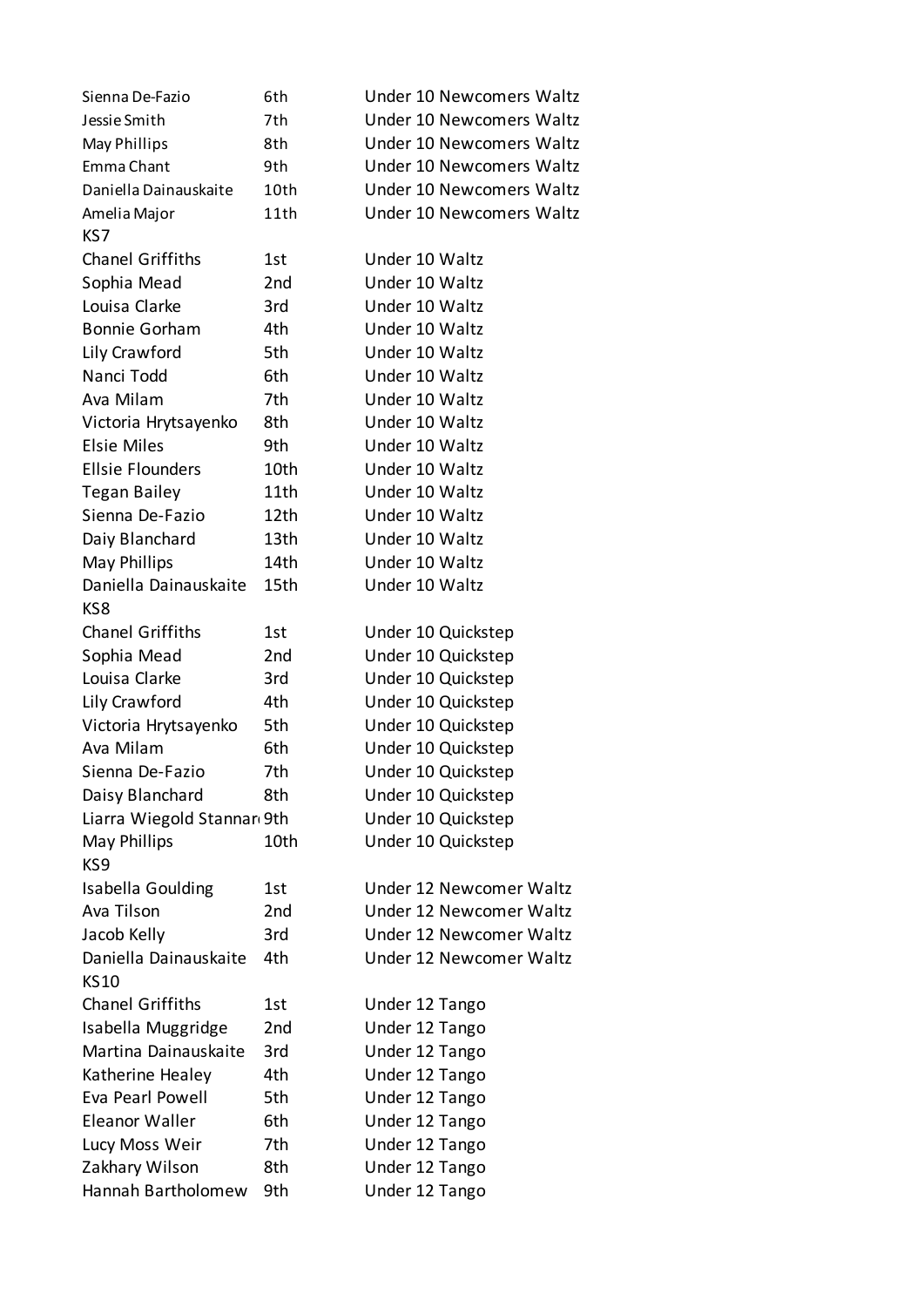| Sienna De-Fazio            | 6th             | Under 10 Newcomers Waltz |
|----------------------------|-----------------|--------------------------|
| Jessie Smith               | 7th             | Under 10 Newcomers Waltz |
| May Phillips               | 8th             | Under 10 Newcomers Waltz |
| Emma Chant                 | 9th             | Under 10 Newcomers Waltz |
| Daniella Dainauskaite      | 10th            | Under 10 Newcomers Waltz |
| Amelia Major               | 11th            | Under 10 Newcomers Waltz |
| KS7                        |                 |                          |
| <b>Chanel Griffiths</b>    | 1st             | Under 10 Waltz           |
| Sophia Mead                | 2 <sub>nd</sub> | Under 10 Waltz           |
| Louisa Clarke              | 3rd             | Under 10 Waltz           |
| <b>Bonnie Gorham</b>       | 4th             | Under 10 Waltz           |
| Lily Crawford              | 5th             | Under 10 Waltz           |
| Nanci Todd                 | 6th             | Under 10 Waltz           |
| Ava Milam                  | 7th             | Under 10 Waltz           |
| Victoria Hrytsayenko       | 8th             | Under 10 Waltz           |
| <b>Elsie Miles</b>         | 9th             | Under 10 Waltz           |
| <b>Ellsie Flounders</b>    | 10th            | Under 10 Waltz           |
| <b>Tegan Bailey</b>        | 11th            | Under 10 Waltz           |
| Sienna De-Fazio            | 12th            | Under 10 Waltz           |
| Daiy Blanchard             | 13th            | Under 10 Waltz           |
| May Phillips               | 14th            | Under 10 Waltz           |
| Daniella Dainauskaite      | 15th            | Under 10 Waltz           |
| KS8                        |                 |                          |
| <b>Chanel Griffiths</b>    | 1st             | Under 10 Quickstep       |
| Sophia Mead                | 2nd             | Under 10 Quickstep       |
| Louisa Clarke              | 3rd             | Under 10 Quickstep       |
| Lily Crawford              | 4th             | Under 10 Quickstep       |
| Victoria Hrytsayenko       | 5th             | Under 10 Quickstep       |
| Ava Milam                  | 6th             | Under 10 Quickstep       |
| Sienna De-Fazio            | 7th             | Under 10 Quickstep       |
| Daisy Blanchard            | 8th             | Under 10 Quickstep       |
| Liarra Wiegold Stannar 9th |                 | Under 10 Quickstep       |
| May Phillips               | 10th            | Under 10 Quickstep       |
| KS9                        |                 |                          |
| <b>Isabella Goulding</b>   | 1st             | Under 12 Newcomer Waltz  |
| Ava Tilson                 | 2nd             | Under 12 Newcomer Waltz  |
| Jacob Kelly                | 3rd             | Under 12 Newcomer Waltz  |
| Daniella Dainauskaite      | 4th             | Under 12 Newcomer Waltz  |
| <b>KS10</b>                |                 |                          |
| <b>Chanel Griffiths</b>    | 1st             | Under 12 Tango           |
| Isabella Muggridge         | 2nd             | Under 12 Tango           |
| Martina Dainauskaite       | 3rd             | Under 12 Tango           |
| Katherine Healey           | 4th             | Under 12 Tango           |
| Eva Pearl Powell           | 5th             | Under 12 Tango           |
| Eleanor Waller             | 6th             | Under 12 Tango           |
| Lucy Moss Weir             | 7th             | Under 12 Tango           |
| Zakhary Wilson             | 8th             | Under 12 Tango           |
| Hannah Bartholomew         | 9th             | Under 12 Tango           |
|                            |                 |                          |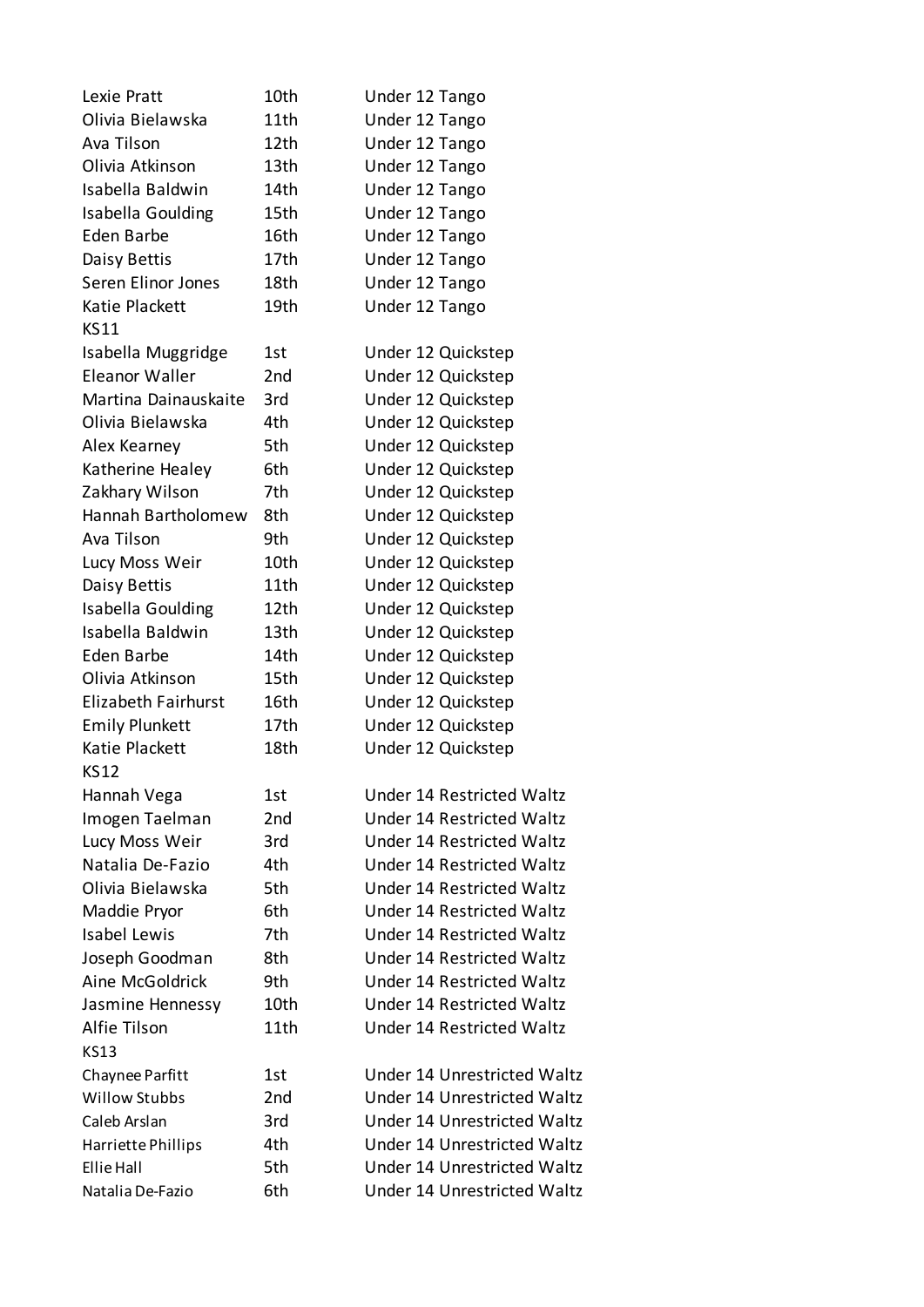| Lexie Pratt                | 10th | Under 12 Tango                   |
|----------------------------|------|----------------------------------|
| Olivia Bielawska           | 11th | Under 12 Tango                   |
| Ava Tilson                 | 12th | Under 12 Tango                   |
| Olivia Atkinson            | 13th | Under 12 Tango                   |
| Isabella Baldwin           | 14th | Under 12 Tango                   |
| Isabella Goulding          | 15th | Under 12 Tango                   |
| Eden Barbe                 | 16th | Under 12 Tango                   |
| Daisy Bettis               | 17th | Under 12 Tango                   |
| Seren Elinor Jones         | 18th | Under 12 Tango                   |
| Katie Plackett             | 19th | Under 12 Tango                   |
| <b>KS11</b>                |      |                                  |
| Isabella Muggridge         | 1st  | Under 12 Quickstep               |
| <b>Eleanor Waller</b>      | 2nd  | Under 12 Quickstep               |
| Martina Dainauskaite       | 3rd  | Under 12 Quickstep               |
| Olivia Bielawska           | 4th  | Under 12 Quickstep               |
| Alex Kearney               | 5th  | Under 12 Quickstep               |
| Katherine Healey           | 6th  | Under 12 Quickstep               |
| Zakhary Wilson             | 7th  | Under 12 Quickstep               |
| Hannah Bartholomew         | 8th  | Under 12 Quickstep               |
| Ava Tilson                 | 9th  | Under 12 Quickstep               |
| Lucy Moss Weir             | 10th | Under 12 Quickstep               |
| Daisy Bettis               | 11th | Under 12 Quickstep               |
| Isabella Goulding          | 12th | Under 12 Quickstep               |
| Isabella Baldwin           | 13th | Under 12 Quickstep               |
| Eden Barbe                 | 14th | Under 12 Quickstep               |
| Olivia Atkinson            | 15th | Under 12 Quickstep               |
| <b>Elizabeth Fairhurst</b> | 16th | Under 12 Quickstep               |
| <b>Emily Plunkett</b>      | 17th | Under 12 Quickstep               |
| Katie Plackett             | 18th | Under 12 Quickstep               |
| <b>KS12</b>                |      |                                  |
| Hannah Vega                | 1st  | Under 14 Restricted Waltz        |
| Imogen Taelman             | 2nd  | <b>Under 14 Restricted Waltz</b> |
| Lucy Moss Weir             | 3rd  | Under 14 Restricted Waltz        |
| Natalia De-Fazio           | 4th  | <b>Under 14 Restricted Waltz</b> |
| Olivia Bielawska           | 5th  | Under 14 Restricted Waltz        |
| Maddie Pryor               | 6th  | Under 14 Restricted Waltz        |
| <b>Isabel Lewis</b>        | 7th  | <b>Under 14 Restricted Waltz</b> |
| Joseph Goodman             | 8th  | Under 14 Restricted Waltz        |
| Aine McGoldrick            | 9th  | Under 14 Restricted Waltz        |
| Jasmine Hennessy           | 10th | Under 14 Restricted Waltz        |
| Alfie Tilson               | 11th | Under 14 Restricted Waltz        |
| <b>KS13</b>                |      |                                  |
| Chaynee Parfitt            | 1st  | Under 14 Unrestricted Waltz      |
| <b>Willow Stubbs</b>       | 2nd  | Under 14 Unrestricted Waltz      |
| Caleb Arslan               | 3rd  | Under 14 Unrestricted Waltz      |
| Harriette Phillips         | 4th  | Under 14 Unrestricted Waltz      |
| Ellie Hall                 | 5th  | Under 14 Unrestricted Waltz      |
| Natalia De-Fazio           | 6th  | Under 14 Unrestricted Waltz      |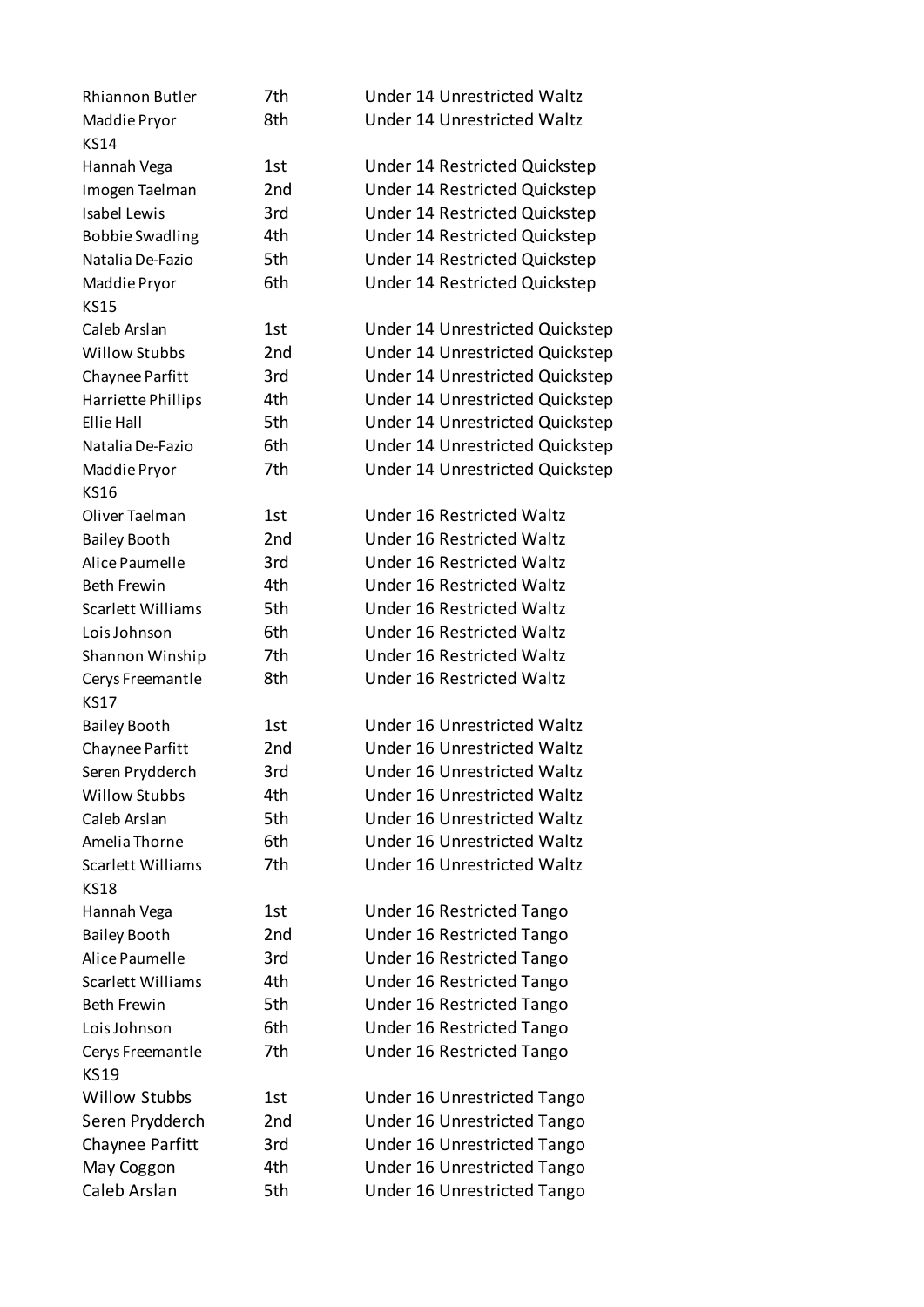| Rhiannon Butler          | 7th             | Under 14 Unrestricted Waltz        |
|--------------------------|-----------------|------------------------------------|
| Maddie Pryor             | 8th             | Under 14 Unrestricted Waltz        |
| <b>KS14</b>              |                 |                                    |
| Hannah Vega              | 1st             | Under 14 Restricted Quickstep      |
| Imogen Taelman           | 2nd             | Under 14 Restricted Quickstep      |
| <b>Isabel Lewis</b>      | 3rd             | Under 14 Restricted Quickstep      |
| <b>Bobbie Swadling</b>   | 4th             | Under 14 Restricted Quickstep      |
| Natalia De-Fazio         | 5th             | Under 14 Restricted Quickstep      |
| Maddie Pryor             | 6th             | Under 14 Restricted Quickstep      |
| <b>KS15</b>              |                 |                                    |
| Caleb Arslan             | 1st             | Under 14 Unrestricted Quickstep    |
| <b>Willow Stubbs</b>     | 2nd             | Under 14 Unrestricted Quickstep    |
| Chaynee Parfitt          | 3rd             | Under 14 Unrestricted Quickstep    |
| Harriette Phillips       | 4th             | Under 14 Unrestricted Quickstep    |
| Ellie Hall               | 5th             | Under 14 Unrestricted Quickstep    |
| Natalia De-Fazio         | 6th             | Under 14 Unrestricted Quickstep    |
| Maddie Pryor             | 7th             | Under 14 Unrestricted Quickstep    |
| <b>KS16</b>              |                 |                                    |
| Oliver Taelman           | 1st             | Under 16 Restricted Waltz          |
| <b>Bailey Booth</b>      | 2nd             | Under 16 Restricted Waltz          |
| Alice Paumelle           | 3rd             | Under 16 Restricted Waltz          |
| <b>Beth Frewin</b>       | 4th             | Under 16 Restricted Waltz          |
| Scarlett Williams        | 5th             | Under 16 Restricted Waltz          |
| Lois Johnson             | 6th             | Under 16 Restricted Waltz          |
| Shannon Winship          | 7th             | Under 16 Restricted Waltz          |
| Cerys Freemantle         | 8th             | Under 16 Restricted Waltz          |
| <b>KS17</b>              |                 |                                    |
| <b>Bailey Booth</b>      | 1st             | Under 16 Unrestricted Waltz        |
| Chaynee Parfitt          | 2 <sub>nd</sub> | Under 16 Unrestricted Waltz        |
| Seren Prydderch          | 3rd             | Under 16 Unrestricted Waltz        |
| <b>Willow Stubbs</b>     | 4th             | Under 16 Unrestricted Waltz        |
| Caleb Arslan             | 5th             | <b>Under 16 Unrestricted Waltz</b> |
| Amelia Thorne            | 6th             | <b>Under 16 Unrestricted Waltz</b> |
| Scarlett Williams        | 7th             | Under 16 Unrestricted Waltz        |
| <b>KS18</b>              |                 |                                    |
| Hannah Vega              | 1st             | Under 16 Restricted Tango          |
| <b>Bailey Booth</b>      | 2 <sub>nd</sub> | Under 16 Restricted Tango          |
| Alice Paumelle           | 3rd             | Under 16 Restricted Tango          |
| <b>Scarlett Williams</b> | 4th             | Under 16 Restricted Tango          |
| <b>Beth Frewin</b>       | 5th             | Under 16 Restricted Tango          |
| Lois Johnson             | 6th             | Under 16 Restricted Tango          |
| Cerys Freemantle         | 7th             | Under 16 Restricted Tango          |
| <b>KS19</b>              |                 |                                    |
| <b>Willow Stubbs</b>     | 1st             | Under 16 Unrestricted Tango        |
| Seren Prydderch          | 2 <sub>nd</sub> | Under 16 Unrestricted Tango        |
| Chaynee Parfitt          | 3rd             | Under 16 Unrestricted Tango        |
| May Coggon               | 4th             | Under 16 Unrestricted Tango        |
| Caleb Arslan             | 5th             | <b>Under 16 Unrestricted Tango</b> |
|                          |                 |                                    |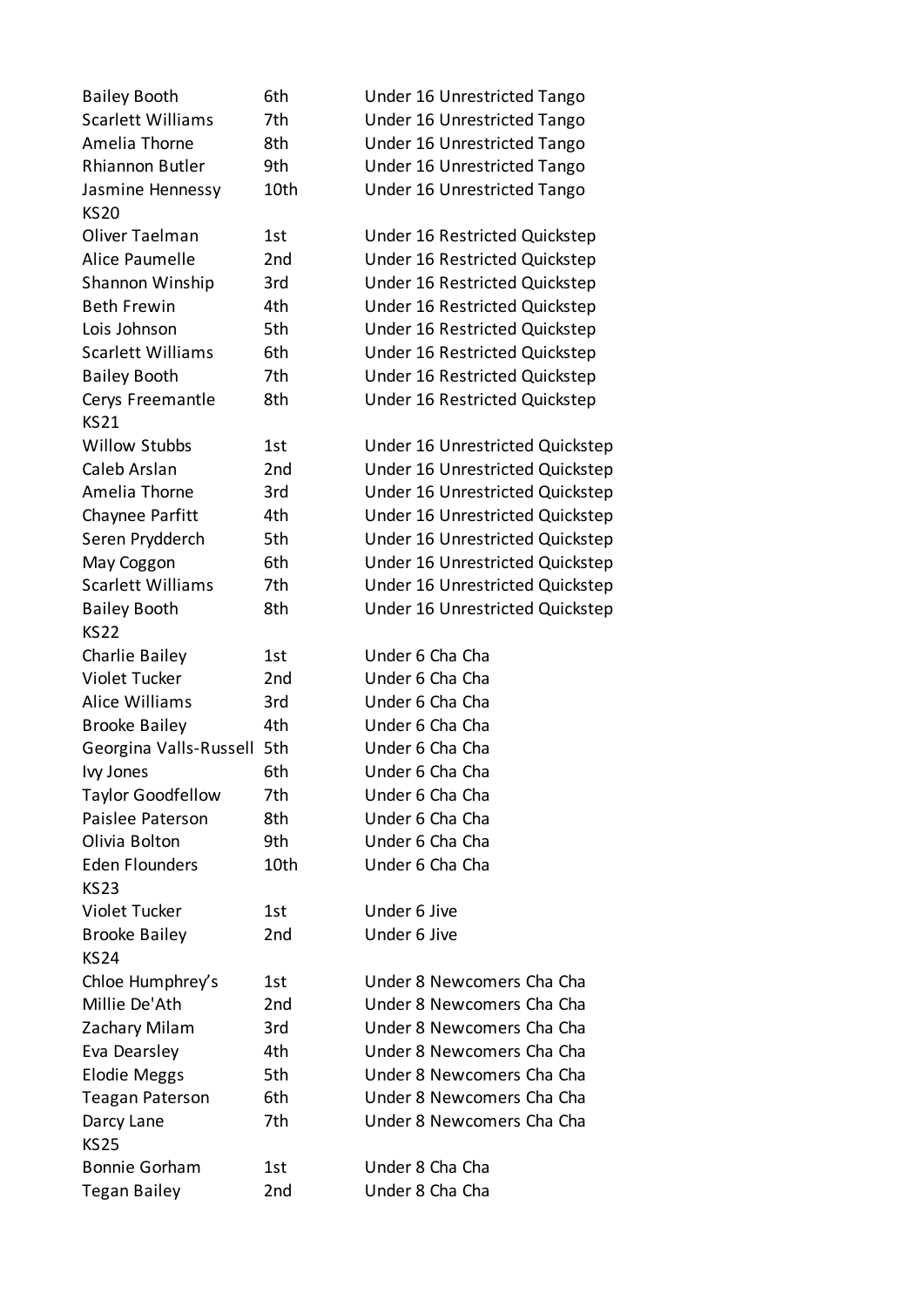| <b>Bailey Booth</b>                    | 6th  | Under 16 Unrestricted Tango     |
|----------------------------------------|------|---------------------------------|
| <b>Scarlett Williams</b>               | 7th  | Under 16 Unrestricted Tango     |
| Amelia Thorne                          | 8th  | Under 16 Unrestricted Tango     |
| Rhiannon Butler                        | 9th  | Under 16 Unrestricted Tango     |
| Jasmine Hennessy                       | 10th | Under 16 Unrestricted Tango     |
| <b>KS20</b>                            |      |                                 |
| Oliver Taelman                         | 1st  | Under 16 Restricted Quickstep   |
| Alice Paumelle                         | 2nd  | Under 16 Restricted Quickstep   |
| Shannon Winship                        | 3rd  | Under 16 Restricted Quickstep   |
| <b>Beth Frewin</b>                     | 4th  | Under 16 Restricted Quickstep   |
| Lois Johnson                           | 5th  | Under 16 Restricted Quickstep   |
| <b>Scarlett Williams</b>               | 6th  | Under 16 Restricted Quickstep   |
| <b>Bailey Booth</b>                    | 7th  | Under 16 Restricted Quickstep   |
| Cerys Freemantle                       | 8th  | Under 16 Restricted Quickstep   |
| <b>KS21</b>                            |      |                                 |
| <b>Willow Stubbs</b>                   | 1st  | Under 16 Unrestricted Quickstep |
| Caleb Arslan                           | 2nd  | Under 16 Unrestricted Quickstep |
| Amelia Thorne                          | 3rd  | Under 16 Unrestricted Quickstep |
| Chaynee Parfitt                        | 4th  | Under 16 Unrestricted Quickstep |
| Seren Prydderch                        | 5th  | Under 16 Unrestricted Quickstep |
|                                        | 6th  |                                 |
| May Coggon<br><b>Scarlett Williams</b> |      | Under 16 Unrestricted Quickstep |
|                                        | 7th  | Under 16 Unrestricted Quickstep |
| <b>Bailey Booth</b>                    | 8th  | Under 16 Unrestricted Quickstep |
| <b>KS22</b>                            |      |                                 |
| Charlie Bailey                         | 1st  | Under 6 Cha Cha                 |
| Violet Tucker                          | 2nd  | Under 6 Cha Cha                 |
| <b>Alice Williams</b>                  | 3rd  | Under 6 Cha Cha                 |
| <b>Brooke Bailey</b>                   | 4th  | Under 6 Cha Cha                 |
| Georgina Valls-Russell                 | 5th  | Under 6 Cha Cha                 |
| Ivy Jones                              | 6th  | Under 6 Cha Cha                 |
| <b>Taylor Goodfellow</b>               | 7th  | Under 6 Cha Cha                 |
| Paislee Paterson                       | 8th  | Under 6 Cha Cha                 |
| Olivia Bolton                          | 9th  | Under 6 Cha Cha                 |
| <b>Eden Flounders</b>                  | 10th | Under 6 Cha Cha                 |
| <b>KS23</b>                            |      |                                 |
| Violet Tucker                          | 1st  | Under 6 Jive                    |
| <b>Brooke Bailey</b>                   | 2nd  | Under 6 Jive                    |
| <b>KS24</b>                            |      |                                 |
| Chloe Humphrey's                       | 1st  | Under 8 Newcomers Cha Cha       |
| Millie De'Ath                          | 2nd  | Under 8 Newcomers Cha Cha       |
| Zachary Milam                          | 3rd  | Under 8 Newcomers Cha Cha       |
| Eva Dearsley                           | 4th  | Under 8 Newcomers Cha Cha       |
| Elodie Meggs                           | 5th  | Under 8 Newcomers Cha Cha       |
| <b>Teagan Paterson</b>                 | 6th  | Under 8 Newcomers Cha Cha       |
| Darcy Lane                             | 7th  | Under 8 Newcomers Cha Cha       |
| <b>KS25</b>                            |      |                                 |
| <b>Bonnie Gorham</b>                   | 1st  | Under 8 Cha Cha                 |
| <b>Tegan Bailey</b>                    | 2nd  | Under 8 Cha Cha                 |
|                                        |      |                                 |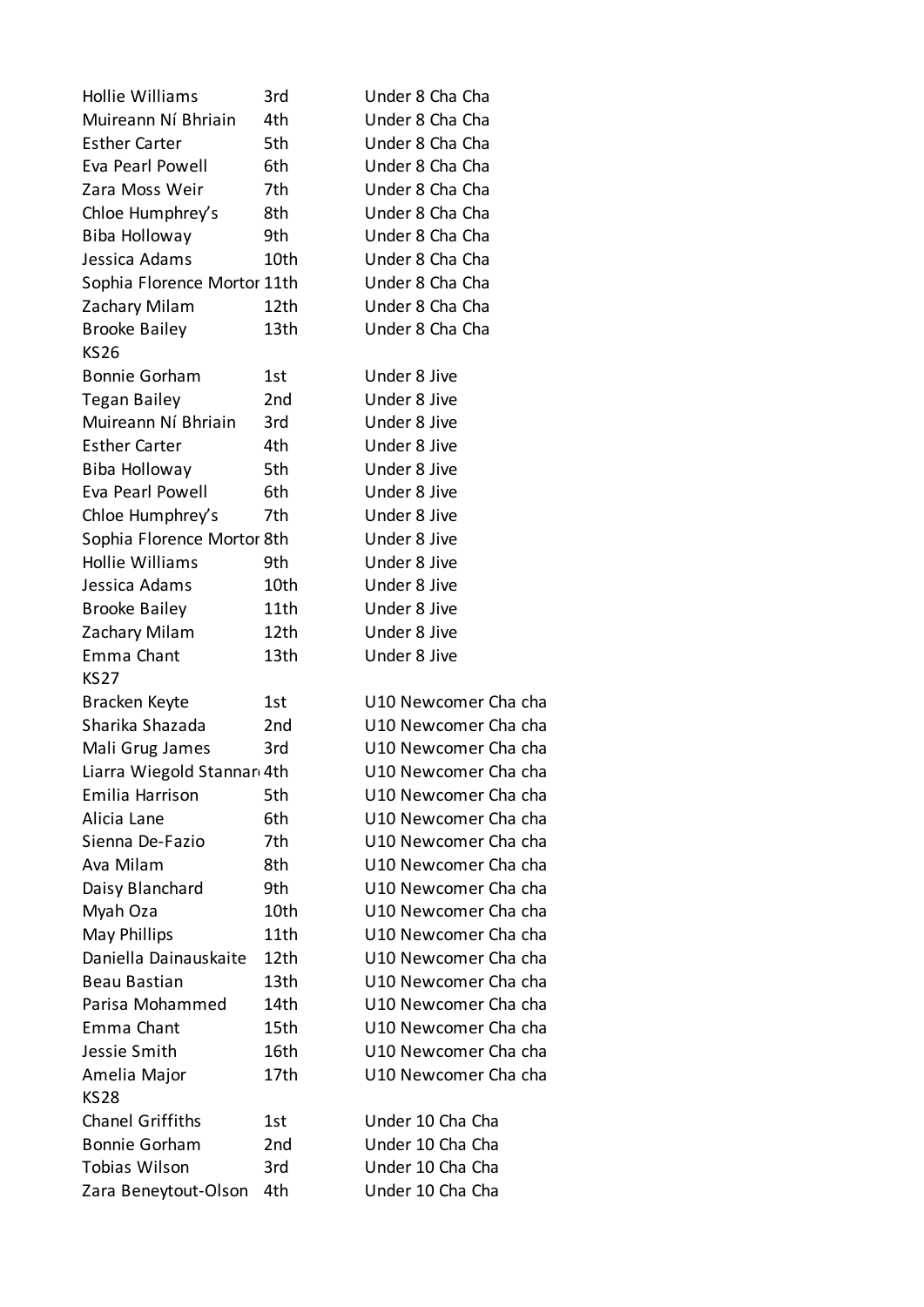| <b>Hollie Williams</b>      | 3rd              | Under 8 Cha Cha      |
|-----------------------------|------------------|----------------------|
| Muireann Ní Bhriain         | 4th              | Under 8 Cha Cha      |
| <b>Esther Carter</b>        | 5th              | Under 8 Cha Cha      |
| Eva Pearl Powell            | 6th              | Under 8 Cha Cha      |
| Zara Moss Weir              | 7th              | Under 8 Cha Cha      |
| Chloe Humphrey's            | 8th              | Under 8 Cha Cha      |
| Biba Holloway               | 9th              | Under 8 Cha Cha      |
| Jessica Adams               | 10th             | Under 8 Cha Cha      |
| Sophia Florence Mortor 11th |                  | Under 8 Cha Cha      |
| Zachary Milam               | 12 <sub>th</sub> | Under 8 Cha Cha      |
| <b>Brooke Bailey</b>        | 13th             | Under 8 Cha Cha      |
| <b>KS26</b>                 |                  |                      |
| <b>Bonnie Gorham</b>        | 1st              | Under 8 Jive         |
| <b>Tegan Bailey</b>         | 2nd              | Under 8 Jive         |
| Muireann Ní Bhriain         | 3rd              | Under 8 Jive         |
| <b>Esther Carter</b>        | 4th              | Under 8 Jive         |
| Biba Holloway               | 5th              | Under 8 Jive         |
| Eva Pearl Powell            | 6th              | Under 8 Jive         |
| Chloe Humphrey's            | 7th              | Under 8 Jive         |
| Sophia Florence Mortor 8th  |                  | Under 8 Jive         |
| <b>Hollie Williams</b>      | 9th              | Under 8 Jive         |
| Jessica Adams               | 10th             | Under 8 Jive         |
| <b>Brooke Bailey</b>        | 11th             | Under 8 Jive         |
| Zachary Milam               | 12th             | Under 8 Jive         |
| Emma Chant                  | 13th             | Under 8 Jive         |
| <b>KS27</b>                 |                  |                      |
| Bracken Keyte               | 1st              | U10 Newcomer Cha cha |
| Sharika Shazada             | 2nd              | U10 Newcomer Cha cha |
| Mali Grug James             | 3rd              | U10 Newcomer Cha cha |
| Liarra Wiegold Stannar 4th  |                  | U10 Newcomer Cha cha |
| Emilia Harrison             | 5th              | U10 Newcomer Cha cha |
| Alicia Lane                 | 6th              | U10 Newcomer Cha cha |
| Sienna De-Fazio             | 7th              | U10 Newcomer Cha cha |
| Ava Milam                   | 8th              | U10 Newcomer Cha cha |
| Daisy Blanchard             | 9th              | U10 Newcomer Cha cha |
| Myah Oza                    | 10th             | U10 Newcomer Cha cha |
| May Phillips                | 11th             | U10 Newcomer Cha cha |
| Daniella Dainauskaite       | 12th             | U10 Newcomer Cha cha |
| Beau Bastian                | 13th             | U10 Newcomer Cha cha |
| Parisa Mohammed             | 14th             | U10 Newcomer Cha cha |
| Emma Chant                  | 15th             | U10 Newcomer Cha cha |
| Jessie Smith                | 16th             | U10 Newcomer Cha cha |
| Amelia Major                | 17th             | U10 Newcomer Cha cha |
| <b>KS28</b>                 |                  |                      |
| <b>Chanel Griffiths</b>     | 1st              | Under 10 Cha Cha     |
| <b>Bonnie Gorham</b>        | 2nd              | Under 10 Cha Cha     |
| <b>Tobias Wilson</b>        | 3rd              | Under 10 Cha Cha     |
| Zara Beneytout-Olson        | 4th              | Under 10 Cha Cha     |
|                             |                  |                      |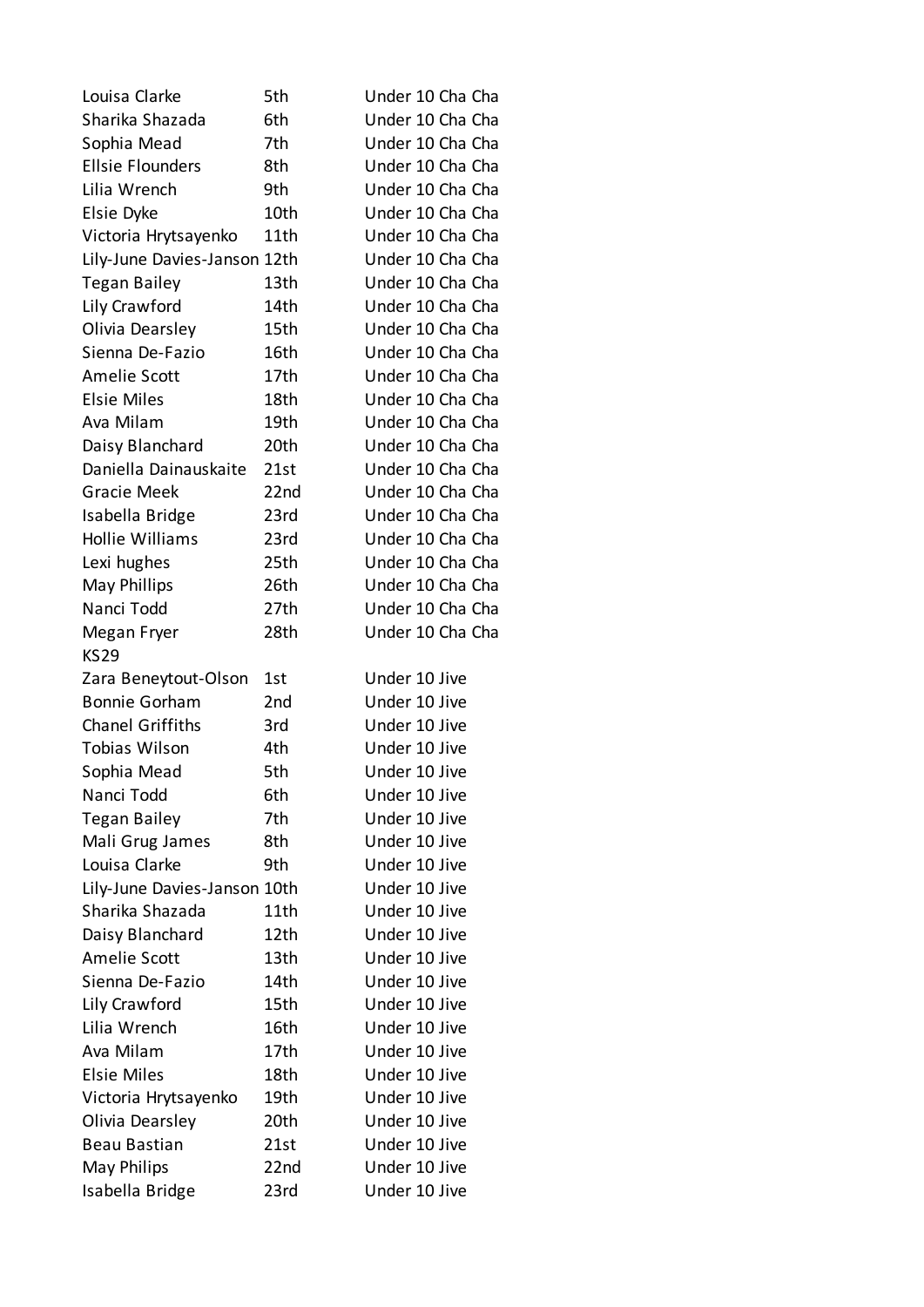| Louisa Clarke                | 5th  | Under 10 Cha Cha |
|------------------------------|------|------------------|
| Sharika Shazada              | 6th  | Under 10 Cha Cha |
| Sophia Mead                  | 7th  | Under 10 Cha Cha |
| <b>Ellsie Flounders</b>      | 8th  | Under 10 Cha Cha |
| Lilia Wrench                 | 9th  | Under 10 Cha Cha |
| Elsie Dyke                   | 10th | Under 10 Cha Cha |
| Victoria Hrytsayenko         | 11th | Under 10 Cha Cha |
| Lily-June Davies-Janson 12th |      | Under 10 Cha Cha |
| <b>Tegan Bailey</b>          | 13th | Under 10 Cha Cha |
| Lily Crawford                | 14th | Under 10 Cha Cha |
| Olivia Dearsley              | 15th | Under 10 Cha Cha |
| Sienna De-Fazio              | 16th | Under 10 Cha Cha |
| Amelie Scott                 | 17th | Under 10 Cha Cha |
| <b>Elsie Miles</b>           | 18th | Under 10 Cha Cha |
| Ava Milam                    | 19th | Under 10 Cha Cha |
| Daisy Blanchard              | 20th | Under 10 Cha Cha |
| Daniella Dainauskaite        | 21st | Under 10 Cha Cha |
| <b>Gracie Meek</b>           | 22nd | Under 10 Cha Cha |
| Isabella Bridge              | 23rd | Under 10 Cha Cha |
| <b>Hollie Williams</b>       | 23rd | Under 10 Cha Cha |
| Lexi hughes                  | 25th | Under 10 Cha Cha |
| May Phillips                 | 26th | Under 10 Cha Cha |
| Nanci Todd                   | 27th | Under 10 Cha Cha |
| Megan Fryer                  | 28th | Under 10 Cha Cha |
| <b>KS29</b>                  |      |                  |
| Zara Beneytout-Olson         | 1st  | Under 10 Jive    |
| <b>Bonnie Gorham</b>         | 2nd  | Under 10 Jive    |
| <b>Chanel Griffiths</b>      | 3rd  | Under 10 Jive    |
| <b>Tobias Wilson</b>         | 4th  | Under 10 Jive    |
| Sophia Mead                  | 5th  | Under 10 Jive    |
| Nanci Todd                   | 6th  | Under 10 Jive    |
| <b>Tegan Bailey</b>          | 7th  | Under 10 Jive    |
| Mali Grug James              | 8th  | Under 10 Jive    |
| Louisa Clarke                | 9th  |                  |
| Lily-June Davies-Janson 10th |      | Under 10 Jive    |
|                              |      | Under 10 Jive    |
| Sharika Shazada              | 11th | Under 10 Jive    |
| Daisy Blanchard              | 12th | Under 10 Jive    |
| Amelie Scott                 | 13th | Under 10 Jive    |
| Sienna De-Fazio              | 14th | Under 10 Jive    |
| Lily Crawford                | 15th | Under 10 Jive    |
| Lilia Wrench                 | 16th | Under 10 Jive    |
| Ava Milam                    | 17th | Under 10 Jive    |
| <b>Elsie Miles</b>           | 18th | Under 10 Jive    |
| Victoria Hrytsayenko         | 19th | Under 10 Jive    |
| Olivia Dearsley              | 20th | Under 10 Jive    |
| Beau Bastian                 | 21st | Under 10 Jive    |
| May Philips                  | 22nd | Under 10 Jive    |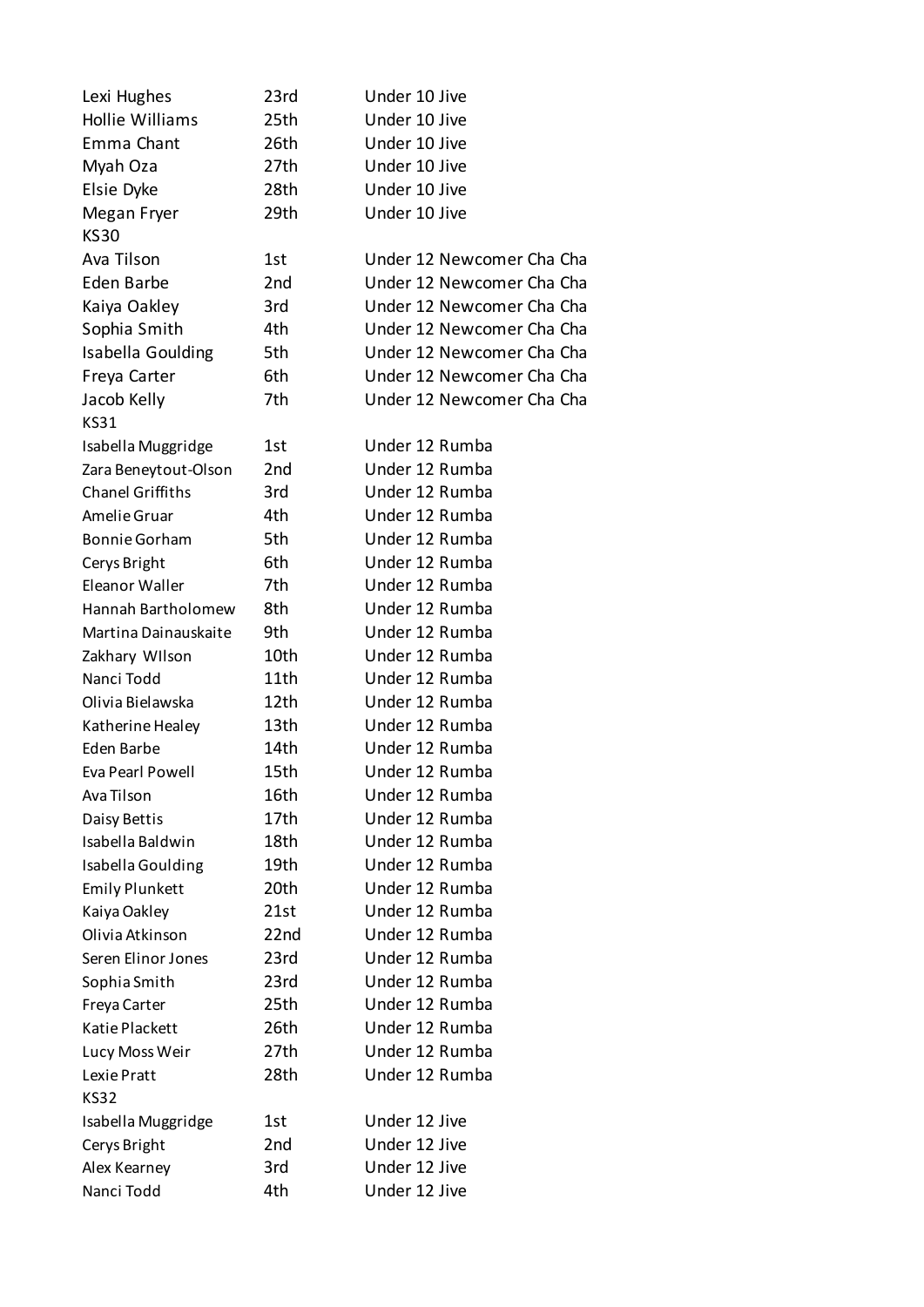| Lexi Hughes             | 23rd | Under 10 Jive             |
|-------------------------|------|---------------------------|
| <b>Hollie Williams</b>  | 25th | Under 10 Jive             |
| Emma Chant              | 26th | Under 10 Jive             |
| Myah Oza                | 27th | Under 10 Jive             |
| Elsie Dyke              | 28th | Under 10 Jive             |
| Megan Fryer             | 29th | Under 10 Jive             |
| <b>KS30</b>             |      |                           |
| Ava Tilson              | 1st  | Under 12 Newcomer Cha Cha |
| Eden Barbe              | 2nd  | Under 12 Newcomer Cha Cha |
| Kaiya Oakley            | 3rd  | Under 12 Newcomer Cha Cha |
| Sophia Smith            | 4th  | Under 12 Newcomer Cha Cha |
| Isabella Goulding       | 5th  | Under 12 Newcomer Cha Cha |
| Freya Carter            | 6th  | Under 12 Newcomer Cha Cha |
| Jacob Kelly             | 7th  | Under 12 Newcomer Cha Cha |
| <b>KS31</b>             |      |                           |
| Isabella Muggridge      | 1st  | Under 12 Rumba            |
| Zara Beneytout-Olson    | 2nd  | Under 12 Rumba            |
| <b>Chanel Griffiths</b> | 3rd  | Under 12 Rumba            |
| Amelie Gruar            | 4th  | Under 12 Rumba            |
| <b>Bonnie Gorham</b>    | 5th  | Under 12 Rumba            |
| Cerys Bright            | 6th  | Under 12 Rumba            |
| Eleanor Waller          | 7th  | Under 12 Rumba            |
| Hannah Bartholomew      | 8th  | Under 12 Rumba            |
| Martina Dainauskaite    | 9th  | Under 12 Rumba            |
| Zakhary Wilson          | 10th | Under 12 Rumba            |
| Nanci Todd              | 11th | Under 12 Rumba            |
| Olivia Bielawska        | 12th | Under 12 Rumba            |
| Katherine Healey        | 13th | Under 12 Rumba            |
| Eden Barbe              | 14th | Under 12 Rumba            |
| Eva Pearl Powell        | 15th | Under 12 Rumba            |
| Ava Tilson              | 16th | Under 12 Rumba            |
| Daisy Bettis            | 17th | Under 12 Rumba            |
| Isabella Baldwin        | 18th | Under 12 Rumba            |
| Isabella Goulding       | 19th | Under 12 Rumba            |
| <b>Emily Plunkett</b>   | 20th | Under 12 Rumba            |
| Kaiya Oakley            | 21st | Under 12 Rumba            |
| Olivia Atkinson         | 22nd | Under 12 Rumba            |
| Seren Elinor Jones      | 23rd | Under 12 Rumba            |
| Sophia Smith            | 23rd | Under 12 Rumba            |
| Freya Carter            | 25th | Under 12 Rumba            |
| Katie Plackett          | 26th | Under 12 Rumba            |
| Lucy Moss Weir          | 27th | Under 12 Rumba            |
| Lexie Pratt             | 28th | Under 12 Rumba            |
| KS32                    |      |                           |
| Isabella Muggridge      | 1st  | Under 12 Jive             |
| Cerys Bright            | 2nd  | Under 12 Jive             |
| Alex Kearney            | 3rd  | Under 12 Jive             |
| Nanci Todd              | 4th  | Under 12 Jive             |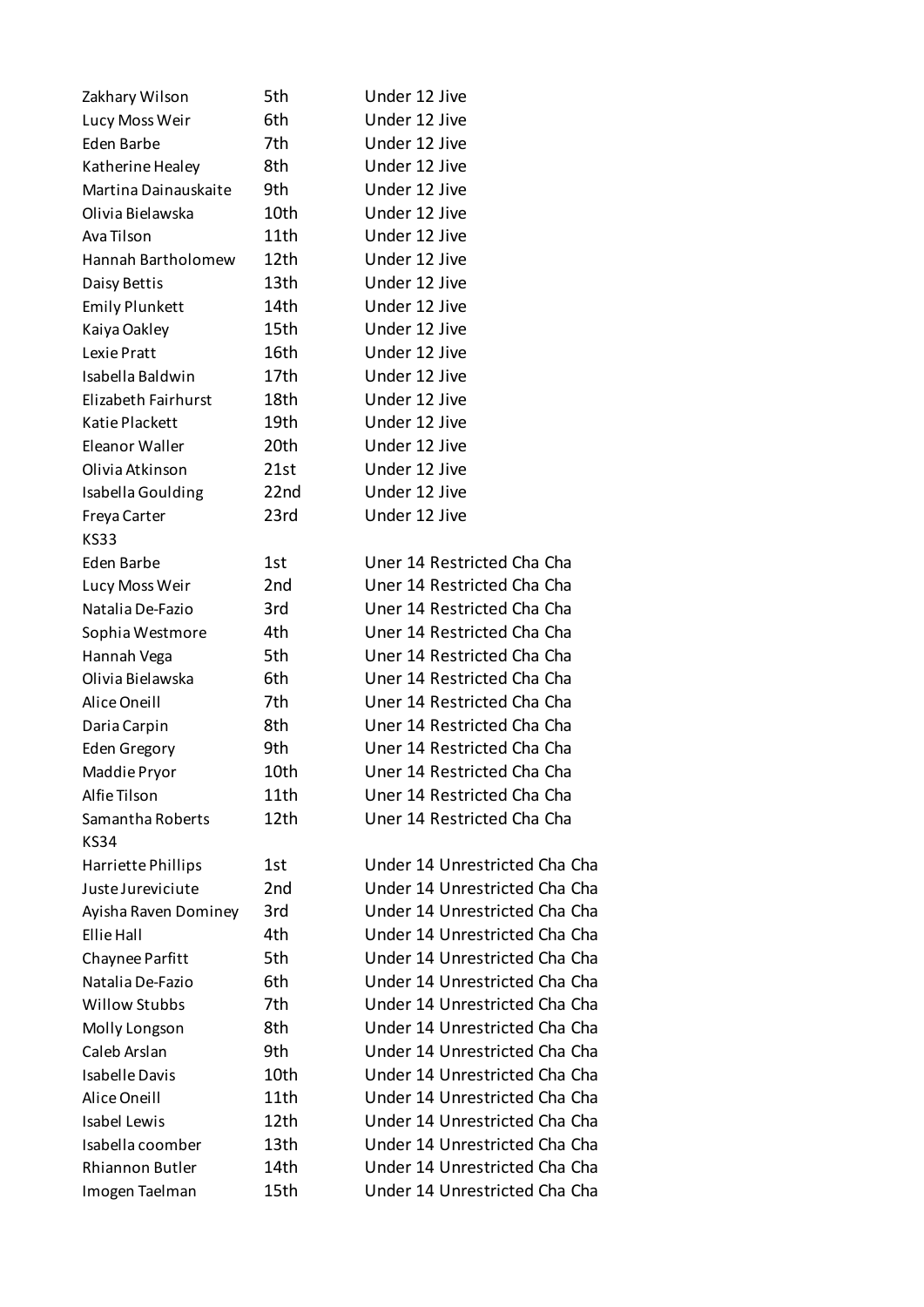| Zakhary Wilson            | 5th              | Under 12 Jive                 |
|---------------------------|------------------|-------------------------------|
| Lucy Moss Weir            | 6th              | Under 12 Jive                 |
| Eden Barbe                | 7th              | Under 12 Jive                 |
| Katherine Healey          | 8th              | Under 12 Jive                 |
| Martina Dainauskaite      | 9th              | Under 12 Jive                 |
| Olivia Bielawska          | 10th             | Under 12 Jive                 |
| Ava Tilson                | 11th             | Under 12 Jive                 |
| <b>Hannah Bartholomew</b> | 12th             | Under 12 Jive                 |
| Daisy Bettis              | 13th             | Under 12 Jive                 |
| <b>Emily Plunkett</b>     | 14th             | Under 12 Jive                 |
| Kaiya Oakley              | 15th             | Under 12 Jive                 |
| Lexie Pratt               | 16th             | Under 12 Jive                 |
| Isabella Baldwin          | 17th             | Under 12 Jive                 |
| Elizabeth Fairhurst       | 18th             | Under 12 Jive                 |
| Katie Plackett            | 19th             | Under 12 Jive                 |
| Eleanor Waller            | 20th             | Under 12 Jive                 |
| Olivia Atkinson           | 21st             | Under 12 Jive                 |
| Isabella Goulding         | 22 <sub>nd</sub> | Under 12 Jive                 |
| Freya Carter              | 23rd             | Under 12 Jive                 |
| <b>KS33</b>               |                  |                               |
| Eden Barbe                | 1st              | Uner 14 Restricted Cha Cha    |
| Lucy Moss Weir            | 2 <sub>nd</sub>  | Uner 14 Restricted Cha Cha    |
| Natalia De-Fazio          | 3rd              | Uner 14 Restricted Cha Cha    |
| Sophia Westmore           | 4th              | Uner 14 Restricted Cha Cha    |
| Hannah Vega               | 5th              | Uner 14 Restricted Cha Cha    |
| Olivia Bielawska          | 6th              | Uner 14 Restricted Cha Cha    |
| Alice Oneill              | 7th              | Uner 14 Restricted Cha Cha    |
| Daria Carpin              | 8th              | Uner 14 Restricted Cha Cha    |
| <b>Eden Gregory</b>       | 9th              | Uner 14 Restricted Cha Cha    |
| Maddie Pryor              | 10th             | Uner 14 Restricted Cha Cha    |
| Alfie Tilson              | 11th             | Uner 14 Restricted Cha Cha    |
| Samantha Roberts          | 12th             | Uner 14 Restricted Cha Cha    |
| KS34                      |                  |                               |
| Harriette Phillips        | 1st              | Under 14 Unrestricted Cha Cha |
| Juste Jureviciute         | 2nd              | Under 14 Unrestricted Cha Cha |
| Ayisha Raven Dominey      | 3rd              | Under 14 Unrestricted Cha Cha |
| Ellie Hall                | 4th              | Under 14 Unrestricted Cha Cha |
| Chaynee Parfitt           | 5th              | Under 14 Unrestricted Cha Cha |
| Natalia De-Fazio          | 6th              | Under 14 Unrestricted Cha Cha |
| <b>Willow Stubbs</b>      | 7th              | Under 14 Unrestricted Cha Cha |
| Molly Longson             | 8th              | Under 14 Unrestricted Cha Cha |
| Caleb Arslan              | 9th              | Under 14 Unrestricted Cha Cha |
| <b>Isabelle Davis</b>     | 10th             | Under 14 Unrestricted Cha Cha |
| Alice Oneill              | 11th             | Under 14 Unrestricted Cha Cha |
| <b>Isabel Lewis</b>       | 12th             | Under 14 Unrestricted Cha Cha |
| Isabella coomber          | 13th             | Under 14 Unrestricted Cha Cha |
| Rhiannon Butler           | 14th             | Under 14 Unrestricted Cha Cha |
| Imogen Taelman            | 15th             | Under 14 Unrestricted Cha Cha |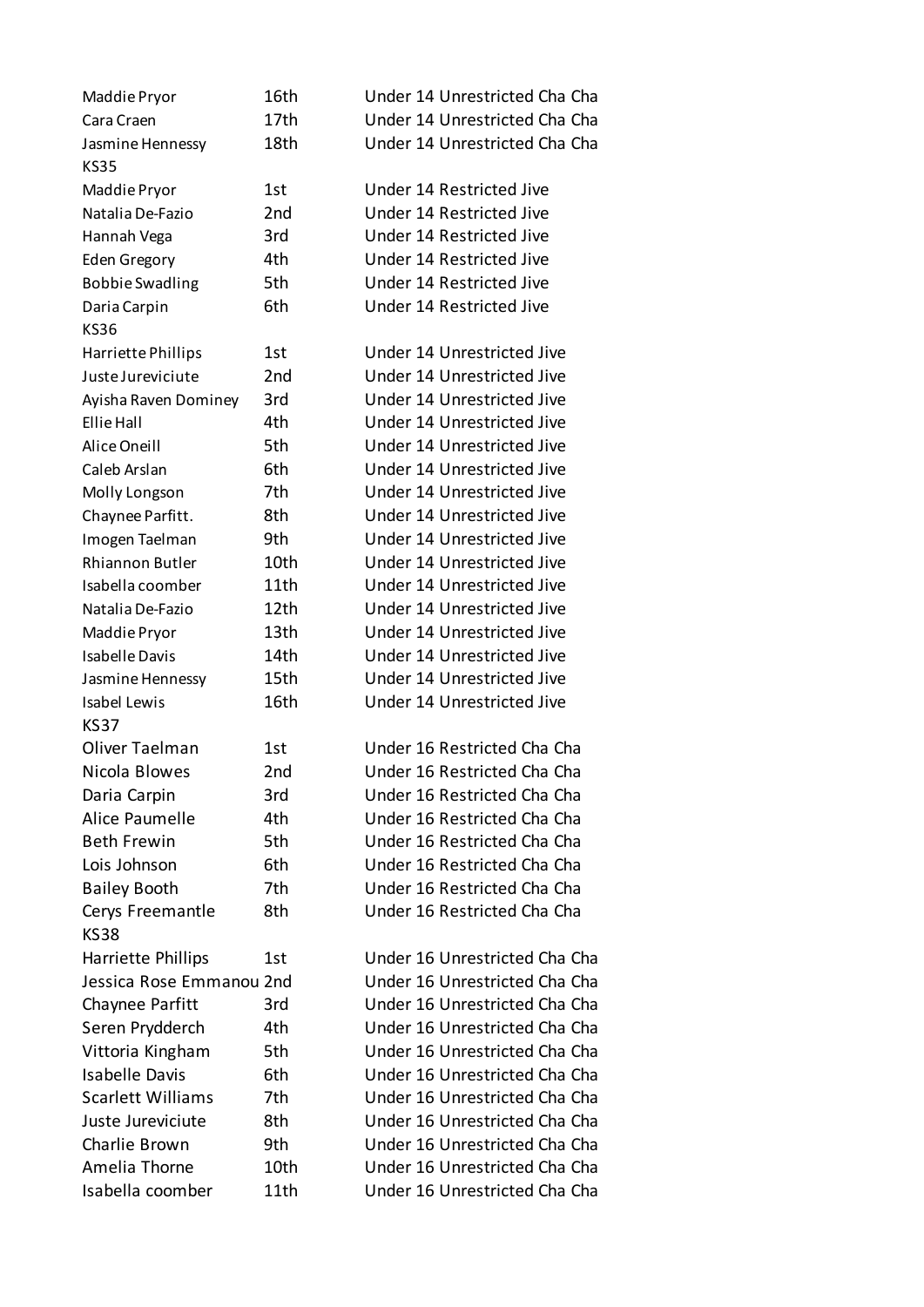| Maddie Pryor             | 16th            | Under 14 Unrestricted Cha Cha |
|--------------------------|-----------------|-------------------------------|
| Cara Craen               | 17th            | Under 14 Unrestricted Cha Cha |
| Jasmine Hennessy         | 18th            | Under 14 Unrestricted Cha Cha |
| <b>KS35</b>              |                 |                               |
| Maddie Pryor             | 1st             | Under 14 Restricted Jive      |
| Natalia De-Fazio         | 2 <sub>nd</sub> | Under 14 Restricted Jive      |
| Hannah Vega              | 3rd             | Under 14 Restricted Jive      |
| <b>Eden Gregory</b>      | 4th             | Under 14 Restricted Jive      |
| <b>Bobbie Swadling</b>   | 5th             | Under 14 Restricted Jive      |
| Daria Carpin             | 6th             | Under 14 Restricted Jive      |
| KS36                     |                 |                               |
| Harriette Phillips       | 1st             | Under 14 Unrestricted Jive    |
| Juste Jureviciute        | 2 <sub>nd</sub> | Under 14 Unrestricted Jive    |
| Ayisha Raven Dominey     | 3rd             | Under 14 Unrestricted Jive    |
| Ellie Hall               | 4th             | Under 14 Unrestricted Jive    |
| Alice Oneill             | 5th             | Under 14 Unrestricted Jive    |
| Caleb Arslan             | 6th             | Under 14 Unrestricted Jive    |
| Molly Longson            | 7th             | Under 14 Unrestricted Jive    |
| Chaynee Parfitt.         | 8th             | Under 14 Unrestricted Jive    |
| Imogen Taelman           | 9th             | Under 14 Unrestricted Jive    |
| Rhiannon Butler          | 10th            | Under 14 Unrestricted Jive    |
| Isabella coomber         | 11th            | Under 14 Unrestricted Jive    |
| Natalia De-Fazio         | 12th            | Under 14 Unrestricted Jive    |
| Maddie Pryor             | 13th            | Under 14 Unrestricted Jive    |
| <b>Isabelle Davis</b>    | 14th            | Under 14 Unrestricted Jive    |
| Jasmine Hennessy         | 15th            | Under 14 Unrestricted Jive    |
| <b>Isabel Lewis</b>      | 16th            | Under 14 Unrestricted Jive    |
| <b>KS37</b>              |                 |                               |
| Oliver Taelman           | 1st             | Under 16 Restricted Cha Cha   |
| Nicola Blowes            | 2 <sub>nd</sub> | Under 16 Restricted Cha Cha   |
| Daria Carpin             | 3rd             | Under 16 Restricted Cha Cha   |
| Alice Paumelle           | 4th             | Under 16 Restricted Cha Cha   |
| <b>Beth Frewin</b>       | 5th             | Under 16 Restricted Cha Cha   |
| Lois Johnson             | 6th             | Under 16 Restricted Cha Cha   |
| <b>Bailey Booth</b>      | 7th             | Under 16 Restricted Cha Cha   |
| Cerys Freemantle         | 8th             | Under 16 Restricted Cha Cha   |
| <b>KS38</b>              |                 |                               |
| Harriette Phillips       | 1st             | Under 16 Unrestricted Cha Cha |
| Jessica Rose Emmanou 2nd |                 | Under 16 Unrestricted Cha Cha |
|                          | 3rd             | Under 16 Unrestricted Cha Cha |
| Chaynee Parfitt          | 4th             | Under 16 Unrestricted Cha Cha |
| Seren Prydderch          |                 | Under 16 Unrestricted Cha Cha |
| Vittoria Kingham         | 5th             |                               |
| <b>Isabelle Davis</b>    | 6th             | Under 16 Unrestricted Cha Cha |
| <b>Scarlett Williams</b> | 7th             | Under 16 Unrestricted Cha Cha |
| Juste Jureviciute        | 8th             | Under 16 Unrestricted Cha Cha |
| Charlie Brown            | 9th             | Under 16 Unrestricted Cha Cha |
| Amelia Thorne            | 10th            | Under 16 Unrestricted Cha Cha |
| Isabella coomber         | 11th            | Under 16 Unrestricted Cha Cha |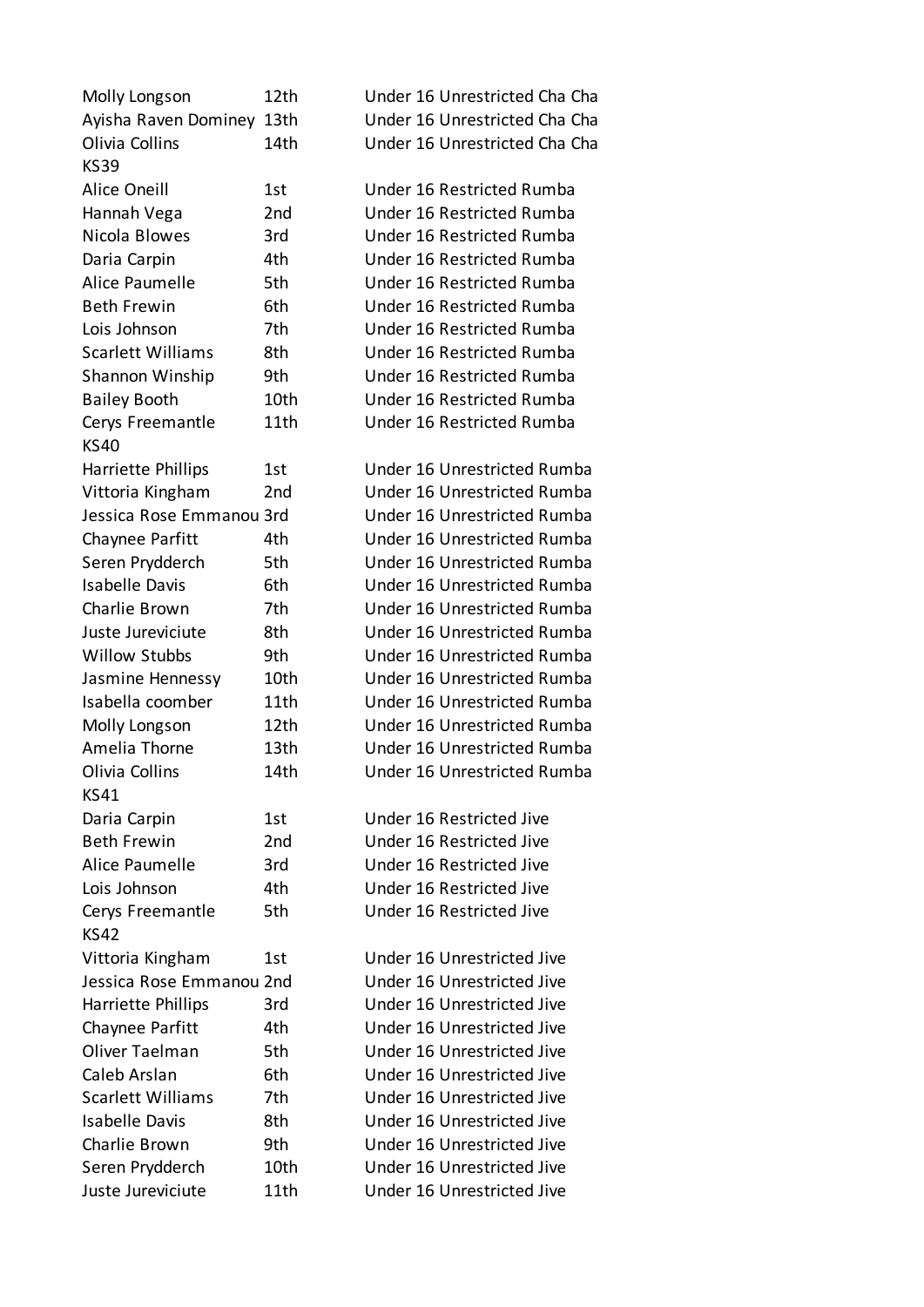| Molly Longson                   | 12th            | Under 16 Unrestricted Cha Cha |
|---------------------------------|-----------------|-------------------------------|
| Ayisha Raven Dominey            | 13th            | Under 16 Unrestricted Cha Cha |
| Olivia Collins                  | 14th            | Under 16 Unrestricted Cha Cha |
| <b>KS39</b>                     |                 |                               |
| <b>Alice Oneill</b>             | 1st             | Under 16 Restricted Rumba     |
| Hannah Vega                     | 2 <sub>nd</sub> | Under 16 Restricted Rumba     |
| Nicola Blowes                   | 3rd             | Under 16 Restricted Rumba     |
| Daria Carpin                    | 4th             | Under 16 Restricted Rumba     |
| Alice Paumelle                  | 5th             | Under 16 Restricted Rumba     |
| <b>Beth Frewin</b>              | 6th             | Under 16 Restricted Rumba     |
| Lois Johnson                    | 7th             | Under 16 Restricted Rumba     |
| <b>Scarlett Williams</b>        | 8th             | Under 16 Restricted Rumba     |
| Shannon Winship                 | 9th             | Under 16 Restricted Rumba     |
| <b>Bailey Booth</b>             | 10th            | Under 16 Restricted Rumba     |
| Cerys Freemantle<br><b>KS40</b> | 11th            | Under 16 Restricted Rumba     |
| Harriette Phillips              | 1st             | Under 16 Unrestricted Rumba   |
| Vittoria Kingham                | 2 <sub>nd</sub> | Under 16 Unrestricted Rumba   |
| Jessica Rose Emmanou 3rd        |                 | Under 16 Unrestricted Rumba   |
| Chaynee Parfitt                 | 4th             | Under 16 Unrestricted Rumba   |
| Seren Prydderch                 | 5th             | Under 16 Unrestricted Rumba   |
| <b>Isabelle Davis</b>           | 6th             | Under 16 Unrestricted Rumba   |
| Charlie Brown                   | 7th             | Under 16 Unrestricted Rumba   |
| Juste Jureviciute               | 8th             | Under 16 Unrestricted Rumba   |
| <b>Willow Stubbs</b>            | 9th             | Under 16 Unrestricted Rumba   |
| Jasmine Hennessy                | 10th            | Under 16 Unrestricted Rumba   |
| Isabella coomber                | 11th            | Under 16 Unrestricted Rumba   |
| Molly Longson                   | 12th            | Under 16 Unrestricted Rumba   |
| Amelia Thorne                   | 13th            | Under 16 Unrestricted Rumba   |
| Olivia Collins                  | 14th            | Under 16 Unrestricted Rumba   |
| <b>KS41</b>                     |                 |                               |
| Daria Carpin                    | 1st             | Under 16 Restricted Jive      |
| <b>Beth Frewin</b>              | 2nd             | Under 16 Restricted Jive      |
| Alice Paumelle                  | 3rd             | Under 16 Restricted Jive      |
| Lois Johnson                    | 4th             | Under 16 Restricted Jive      |
| Cerys Freemantle                | 5th             | Under 16 Restricted Jive      |
| <b>KS42</b>                     |                 |                               |
| Vittoria Kingham                | 1st             | Under 16 Unrestricted Jive    |
| Jessica Rose Emmanou 2nd        |                 | Under 16 Unrestricted Jive    |
| Harriette Phillips              | 3rd             | Under 16 Unrestricted Jive    |
| Chaynee Parfitt                 | 4th             | Under 16 Unrestricted Jive    |
| Oliver Taelman                  | 5th             | Under 16 Unrestricted Jive    |
| Caleb Arslan                    | 6th             | Under 16 Unrestricted Jive    |
| <b>Scarlett Williams</b>        | 7th             | Under 16 Unrestricted Jive    |
| <b>Isabelle Davis</b>           | 8th             | Under 16 Unrestricted Jive    |
| Charlie Brown                   | 9th             | Under 16 Unrestricted Jive    |
| Seren Prydderch                 | 10th            | Under 16 Unrestricted Jive    |
| Juste Jureviciute               | 11th            | Under 16 Unrestricted Jive    |
|                                 |                 |                               |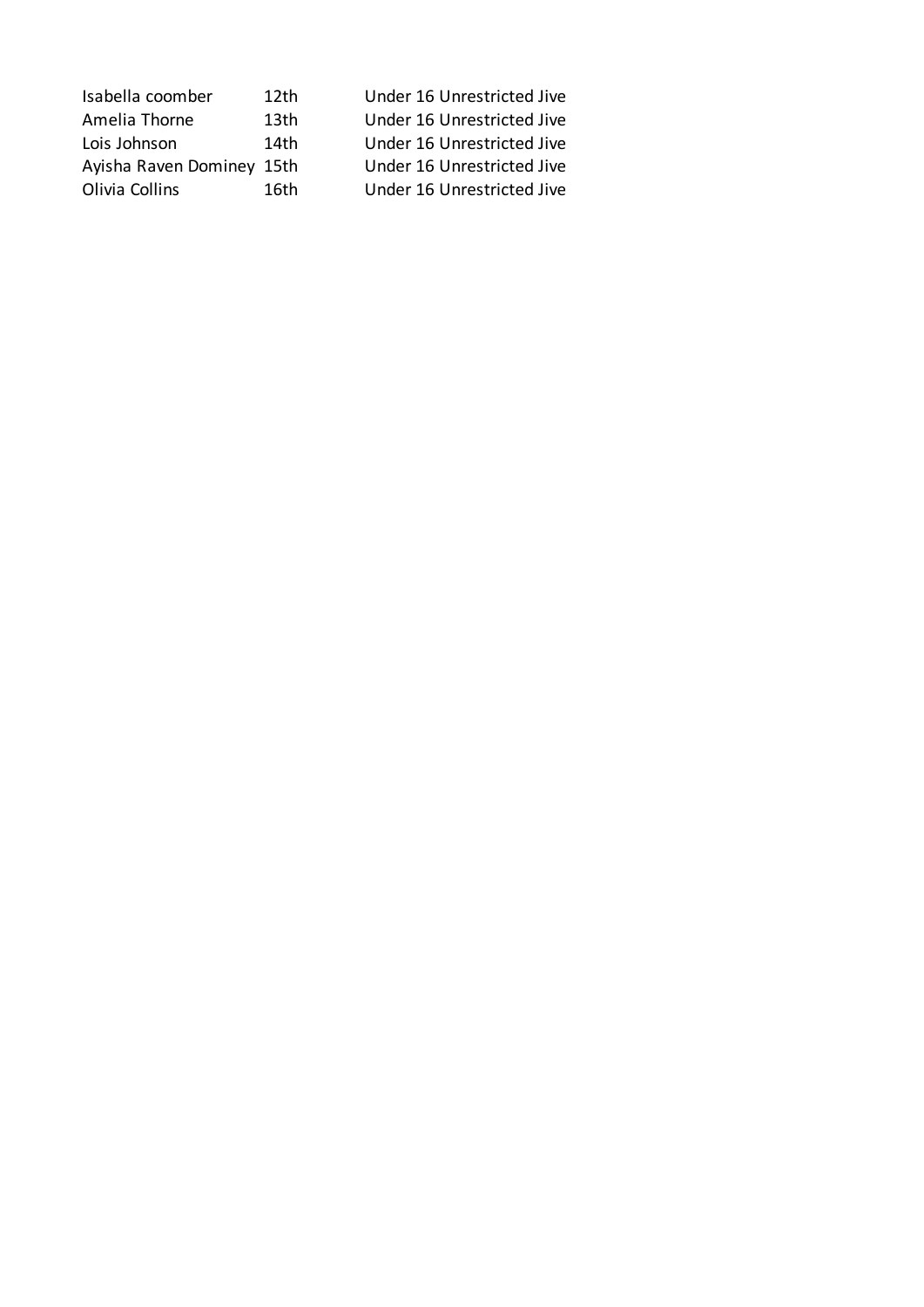| Isabella coomber          | 12 <sub>th</sub> | Under 16 Unrestricted Jive |
|---------------------------|------------------|----------------------------|
| Amelia Thorne             | 13th             | Under 16 Unrestricted Jive |
| Lois Johnson              | 14th             | Under 16 Unrestricted Jive |
| Ayisha Raven Dominey 15th |                  | Under 16 Unrestricted Jive |
| Olivia Collins            | 16th             | Under 16 Unrestricted Jive |
|                           |                  |                            |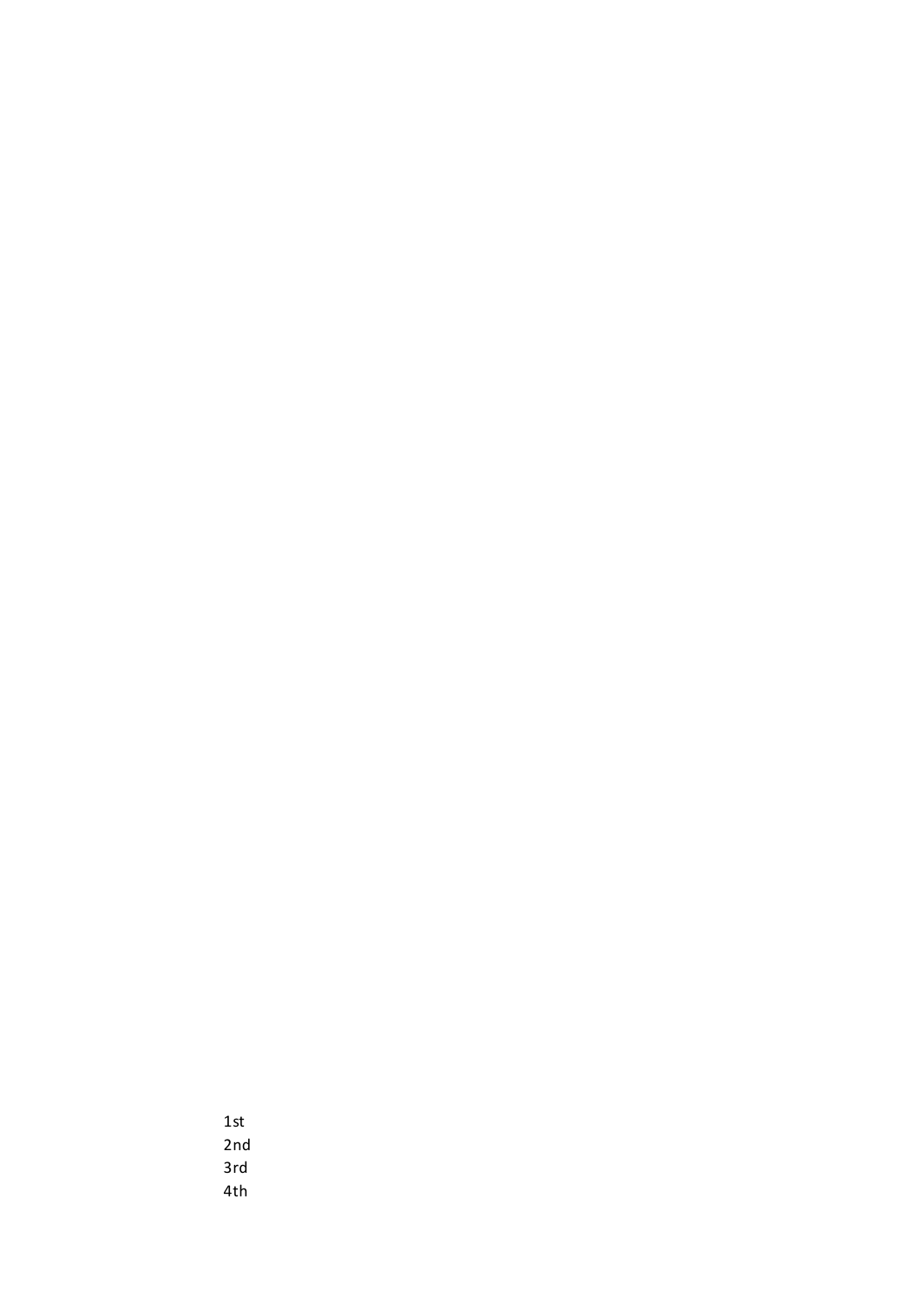1st 2nd 3rd 4th